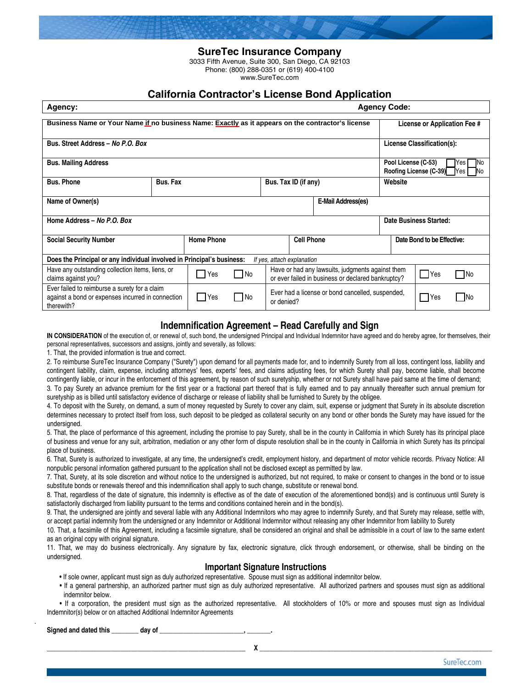

3033 Fifth Avenue, Suite 300, San Diego, CA 92103 Phone: (800) 288-0351 or (619) 400-4100 www.SureTec.com

# **California Contractor's License Bond Application**

| Agency:                                                                                                                           |          |                                                                                                        |                                                                |  |                      | <b>Agency Code:</b>                                                                 |                            |          |  |                              |
|-----------------------------------------------------------------------------------------------------------------------------------|----------|--------------------------------------------------------------------------------------------------------|----------------------------------------------------------------|--|----------------------|-------------------------------------------------------------------------------------|----------------------------|----------|--|------------------------------|
| Business Name or Your Name if no business Name: Exactly as it appears on the contractor's license                                 |          |                                                                                                        |                                                                |  |                      |                                                                                     |                            |          |  | License or Application Fee # |
| Bus. Street Address - No P.O. Box                                                                                                 |          |                                                                                                        |                                                                |  |                      | License Classification(s):                                                          |                            |          |  |                              |
| <b>Bus. Mailing Address</b>                                                                                                       |          |                                                                                                        |                                                                |  |                      | Pool License (C-53)<br>lYes l<br><b>INo</b><br><b>Roofing License (C-39)</b> Yes No |                            |          |  |                              |
| <b>Bus. Phone</b>                                                                                                                 | Bus. Fax |                                                                                                        |                                                                |  | Bus. Tax ID (if any) |                                                                                     | Website                    |          |  |                              |
| Name of Owner(s)<br>E-Mail Address(es)                                                                                            |          |                                                                                                        |                                                                |  |                      |                                                                                     |                            |          |  |                              |
| Home Address - No P.O. Box                                                                                                        |          |                                                                                                        |                                                                |  |                      | Date Business Started:                                                              |                            |          |  |                              |
| <b>Social Security Number</b>                                                                                                     |          | <b>Home Phone</b>                                                                                      |                                                                |  | <b>Cell Phone</b>    |                                                                                     | Date Bond to be Effective: |          |  |                              |
| Does the Principal or any individual involved in Principal's business:<br>If yes, attach explanation                              |          |                                                                                                        |                                                                |  |                      |                                                                                     |                            |          |  |                              |
| Have any outstanding collection items, liens, or<br>No<br>Yes<br>claims against you?                                              |          | Have or had any lawsuits, judgments against them<br>or ever failed in business or declared bankruptcy? |                                                                |  |                      |                                                                                     | $\Box$ Yes                 | ¶No<br>L |  |                              |
| Ever failed to reimburse a surety for a claim<br>  No<br>against a bond or expenses incurred in connection<br>l Yes<br>therewith? |          |                                                                                                        | Ever had a license or bond cancelled, suspended,<br>or denied? |  |                      | <b>PYes</b>                                                                         | l INo                      |          |  |                              |

### **Indemnification Agreement – Read Carefully and Sign**

**IN CONSIDERATION** of the execution of, or renewal of, such bond, the undersigned Principal and Individual Indemnitor have agreed and do hereby agree, for themselves, their personal representatives, successors and assigns, jointly and severally, as follows:

1. That, the provided information is true and correct.

2. To reimburse SureTec Insurance Company ("Surety") upon demand for all payments made for, and to indemnify Surety from all loss, contingent loss, liability and contingent liability, claim, expense, including attorneys' fees, experts' fees, and claims adjusting fees, for which Surety shall pay, become liable, shall become contingently liable, or incur in the enforcement of this agreement, by reason of such suretyship, whether or not Surety shall have paid same at the time of demand;

3. To pay Surety an advance premium for the first year or a fractional part thereof that is fully earned and to pay annually thereafter such annual premium for suretyship as is billed until satisfactory evidence of discharge or release of liability shall be furnished to Surety by the obligee.

4. To deposit with the Surety, on demand, a sum of money requested by Surety to cover any claim, suit, expense or judgment that Surety in its absolute discretion determines necessary to protect itself from loss, such deposit to be pledged as collateral security on any bond or other bonds the Surety may have issued for the undersigned.

5. That, the place of performance of this agreement, including the promise to pay Surety, shall be in the county in California in which Surety has its principal place of business and venue for any suit, arbitration, mediation or any other form of dispute resolution shall be in the county in California in which Surety has its principal place of business.

6. That, Surety is authorized to investigate, at any time, the undersigned's credit, employment history, and department of motor vehicle records. Privacy Notice: All nonpublic personal information gathered pursuant to the application shall not be disclosed except as permitted by law.

7. That, Surety, at its sole discretion and without notice to the undersigned is authorized, but not required, to make or consent to changes in the bond or to issue substitute bonds or renewals thereof and this indemnification shall apply to such change, substitute or renewal bond.

8. That, regardless of the date of signature, this indemnity is effective as of the date of execution of the aforementioned bond(s) and is continuous until Surety is satisfactorily discharged from liability pursuant to the terms and conditions contained herein and in the bond(s).

9. That, the undersigned are jointly and several liable with any Additional Indemnitors who may agree to indemnify Surety, and that Surety may release, settle with, or accept partial indemnity from the undersigned or any Indemnitor or Additional Indemnitor without releasing any other Indemnitor from liability to Surety

10. That, a facsimile of this Agreement, including a facsimile signature, shall be considered an original and shall be admissible in a court of law to the same extent as an original copy with original signature.

11. That, we may do business electronically. Any signature by fax, electronic signature, click through endorsement, or otherwise, shall be binding on the undersigned.

#### **Important Signature Instructions**

• If sole owner, applicant must sign as duly authorized representative. Spouse must sign as additional indemnitor below.

 • If a general partnership, an authorized partner must sign as duly authorized representative. All authorized partners and spouses must sign as additional indemnitor below.

 • If a corporation, the president must sign as the authorized representative. All stockholders of 10% or more and spouses must sign as Individual Indemnitor(s) below or on attached Additional Indemnitor Agreements

Signed and dated this \_\_\_\_\_\_\_\_\_ day of

.

\_\_\_\_\_\_\_\_\_\_\_\_\_\_\_\_\_\_\_\_\_\_\_\_\_\_\_\_\_\_\_\_\_\_\_\_\_\_\_\_\_\_\_\_\_\_\_\_\_\_\_\_\_\_\_\_\_\_\_ **X** \_\_\_\_\_\_\_\_\_\_\_\_\_\_\_\_\_\_\_\_\_\_\_\_\_\_\_\_\_\_\_\_\_\_\_\_\_\_\_\_\_\_\_\_\_\_\_\_\_\_\_\_\_\_\_\_\_\_\_\_\_\_\_\_\_\_\_\_\_